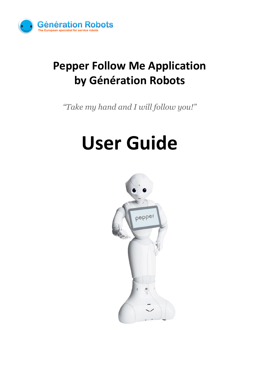

## **Pepper Follow Me Application by Génération Robots**

*"Take my hand and I will follow you!"*

# **User Guide**

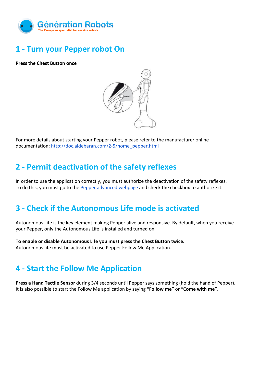

#### **1 - Turn your Pepper robot On**

**Press the Chest Button once**



For more details about starting your Pepper robot, please refer to the manufacturer online documentation: [http://doc.aldebaran.com/2-5/home\\_pepper.html](http://doc.aldebaran.com/2-5/home_pepper.html)

#### **2 - Permit deactivation of the safety reflexes**

In order to use the application correctly, you must authorize the deactivation of the safety reflexes. To do this, you must go to the [Pepper advanced webpage](http://ip_robot_address.local/advanced/#/settings) and check the checkbox to authorize it.

#### **3 - Check if the Autonomous Life mode is activated**

Autonomous Life is the key element making Pepper alive and responsive. By default, when you receive your Pepper, only the Autonomous Life is installed and turned on.

**To enable or disable Autonomous Life you must press the Chest Button twice.** Autonomous life must be activated to use Pepper Follow Me Application.

#### **4 - Start the Follow Me Application**

**Press a Hand Tactile Sensor** during 3/4 seconds until Pepper says something (hold the hand of Pepper). It is also possible to start the Follow Me application by saying **"Follow me"** or **"Come with me"**.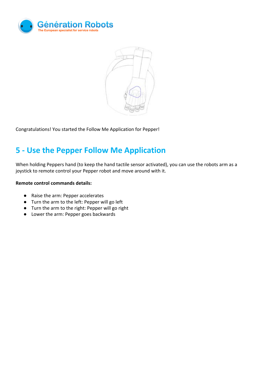



Congratulations! You started the Follow Me Application for Pepper!

#### **5 - Use the Pepper Follow Me Application**

When holding Peppers hand (to keep the hand tactile sensor activated), you can use the robots arm as a joystick to remote control your Pepper robot and move around with it.

#### **Remote control commands details:**

- Raise the arm: Pepper accelerates
- Turn the arm to the left: Pepper will go left
- Turn the arm to the right: Pepper will go right
- Lower the arm: Pepper goes backwards